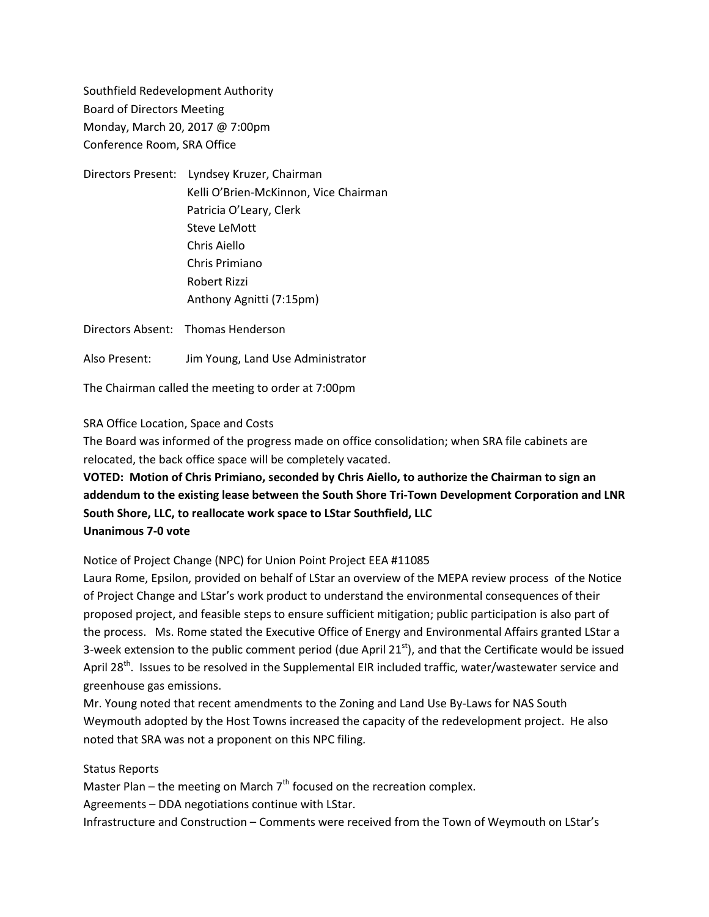Southfield Redevelopment Authority Board of Directors Meeting Monday, March 20, 2017 @ 7:00pm Conference Room, SRA Office

Directors Present: Lyndsey Kruzer, Chairman Kelli O'Brien-McKinnon, Vice Chairman Patricia O'Leary, Clerk Steve LeMott Chris Aiello Chris Primiano Robert Rizzi Anthony Agnitti (7:15pm)

Directors Absent: Thomas Henderson

Also Present: Jim Young, Land Use Administrator

The Chairman called the meeting to order at 7:00pm

SRA Office Location, Space and Costs

The Board was informed of the progress made on office consolidation; when SRA file cabinets are relocated, the back office space will be completely vacated.

## **VOTED: Motion of Chris Primiano, seconded by Chris Aiello, to authorize the Chairman to sign an addendum to the existing lease between the South Shore Tri-Town Development Corporation and LNR South Shore, LLC, to reallocate work space to LStar Southfield, LLC Unanimous 7-0 vote**

## Notice of Project Change (NPC) for Union Point Project EEA #11085

Laura Rome, Epsilon, provided on behalf of LStar an overview of the MEPA review process of the Notice of Project Change and LStar's work product to understand the environmental consequences of their proposed project, and feasible steps to ensure sufficient mitigation; public participation is also part of the process. Ms. Rome stated the Executive Office of Energy and Environmental Affairs granted LStar a 3-week extension to the public comment period (due April  $21<sup>st</sup>$ ), and that the Certificate would be issued April 28<sup>th</sup>. Issues to be resolved in the Supplemental EIR included traffic, water/wastewater service and greenhouse gas emissions.

Mr. Young noted that recent amendments to the Zoning and Land Use By-Laws for NAS South Weymouth adopted by the Host Towns increased the capacity of the redevelopment project. He also noted that SRA was not a proponent on this NPC filing.

## Status Reports

Master Plan – the meeting on March  $7<sup>th</sup>$  focused on the recreation complex.

Agreements – DDA negotiations continue with LStar.

Infrastructure and Construction – Comments were received from the Town of Weymouth on LStar's